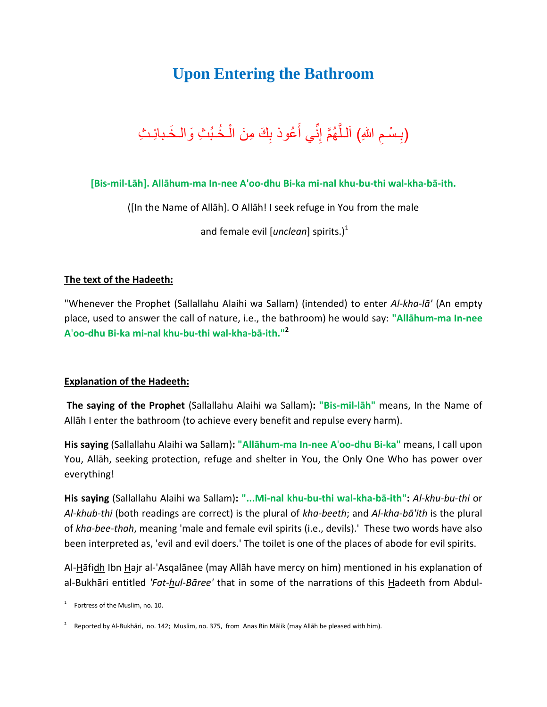## **Upon Entering the Bathroom**



**[Bis-mil-Lāh]. Allāhum-ma In-nee A'oo-dhu Bi-ka mi-nal khu-bu-thi wal-kha-bā-ith.**

([In the Name of Allāh]. O Allāh! I seek refuge in You from the male

and female evil *[unclean*] spirits.)<sup>1</sup>

## **The text of the Hadeeth:**

"Whenever the Prophet (Sallallahu Alaihi wa Sallam) (intended) to enter *Al-kha-lā'* (An empty place, used to answer the call of nature, i.e., the bathroom) he would say: **"Allāhum-ma In-nee A**'**oo-dhu Bi-ka mi-nal khu-bu-thi wal-kha-bā-ith."<sup>2</sup>**

## **Explanation of the Hadeeth:**

**The saying of the Prophet** (Sallallahu Alaihi wa Sallam)**: "Bis-mil-lāh"** means, In the Name of Allāh I enter the bathroom (to achieve every benefit and repulse every harm).

**His saying** (Sallallahu Alaihi wa Sallam)**: "Allāhum-ma In-nee A**'**oo-dhu Bi-ka"** means, I call upon You, Allāh, seeking protection, refuge and shelter in You, the Only One Who has power over everything!

**His saying** (Sallallahu Alaihi wa Sallam)**: "...Mi-nal khu-bu-thi wal-kha-bā-ith":** *Al-khu-bu-thi* or *Al-khub-thi* (both readings are correct) is the plural of *kha-beeth*; and *Al-kha-bā'ith* is the plural of *kha-bee-thah*, meaning 'male and female evil spirits (i.e., devils).' These two words have also been interpreted as, 'evil and evil doers.' The toilet is one of the places of abode for evil spirits.

Al-Hāfidh Ibn Hajr al-'Asqalānee (may Allāh have mercy on him) mentioned in his explanation of al-Bukhāri entitled *'Fat-hul-Bāree'* that in some of the narrations of this Hadeeth from Abdul-

 $\overline{a}$ 

<sup>1</sup> Fortress of the Muslim, no. 10.

<sup>2</sup> Reported by Al-Bukhāri, no. 142; Muslim, no. 375, from Anas Bin Mālik (may Allāh be pleased with him).